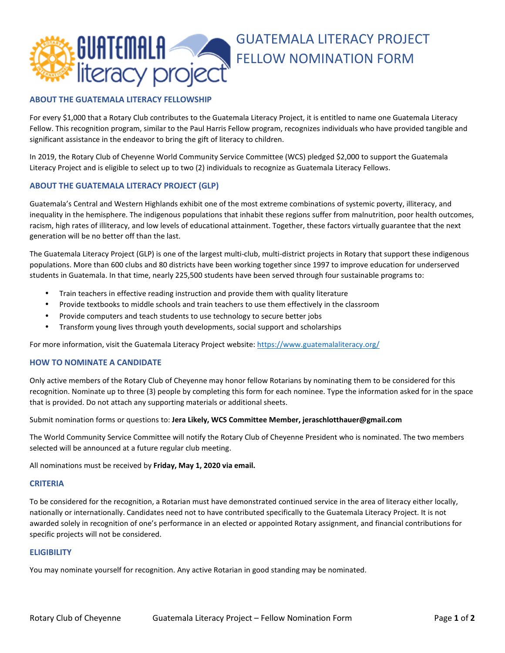

# **ABOUT THE GUATEMALA LITERACY FELLOWSHIP**

For every \$1,000 that a Rotary Club contributes to the Guatemala Literacy Project, it is entitled to name one Guatemala Literacy Fellow. This recognition program, similar to the Paul Harris Fellow program, recognizes individuals who have provided tangible and significant assistance in the endeavor to bring the gift of literacy to children.

In 2019, the Rotary Club of Cheyenne World Community Service Committee (WCS) pledged \$2,000 to support the Guatemala Literacy Project and is eligible to select up to two (2) individuals to recognize as Guatemala Literacy Fellows.

# **ABOUT THE GUATEMALA LITERACY PROJECT (GLP)**

Guatemala's Central and Western Highlands exhibit one of the most extreme combinations of systemic poverty, illiteracy, and inequality in the hemisphere. The indigenous populations that inhabit these regions suffer from malnutrition, poor health outcomes, racism, high rates of illiteracy, and low levels of educational attainment. Together, these factors virtually guarantee that the next generation will be no better off than the last.

The Guatemala Literacy Project (GLP) is one of the largest multi-club, multi-district projects in Rotary that support these indigenous populations. More than 600 clubs and 80 districts have been working together since 1997 to improve education for underserved students in Guatemala. In that time, nearly 225,500 students have been served through four sustainable programs to:

- Train teachers in effective reading instruction and provide them with quality literature
- Provide textbooks to middle schools and train teachers to use them effectively in the classroom
- Provide computers and teach students to use technology to secure better jobs
- Transform young lives through youth developments, social support and scholarships

For more information, visit the Guatemala Literacy Project website: https://www.guatemalaliteracy.org/

### **HOW TO NOMINATE A CANDIDATE**

Only active members of the Rotary Club of Cheyenne may honor fellow Rotarians by nominating them to be considered for this recognition. Nominate up to three (3) people by completing this form for each nominee. Type the information asked for in the space that is provided. Do not attach any supporting materials or additional sheets.

Submit nomination forms or questions to: **Jera Likely, WCS Committee Member, jeraschlotthauer@gmail.com**

The World Community Service Committee will notify the Rotary Club of Cheyenne President who is nominated. The two members selected will be announced at a future regular club meeting.

All nominations must be received by **Friday, May 1, 2020 via email.** 

#### **CRITERIA**

To be considered for the recognition, a Rotarian must have demonstrated continued service in the area of literacy either locally, nationally or internationally. Candidates need not to have contributed specifically to the Guatemala Literacy Project. It is not awarded solely in recognition of one's performance in an elected or appointed Rotary assignment, and financial contributions for specific projects will not be considered.

#### **ELIGIBILITY**

You may nominate yourself for recognition. Any active Rotarian in good standing may be nominated.